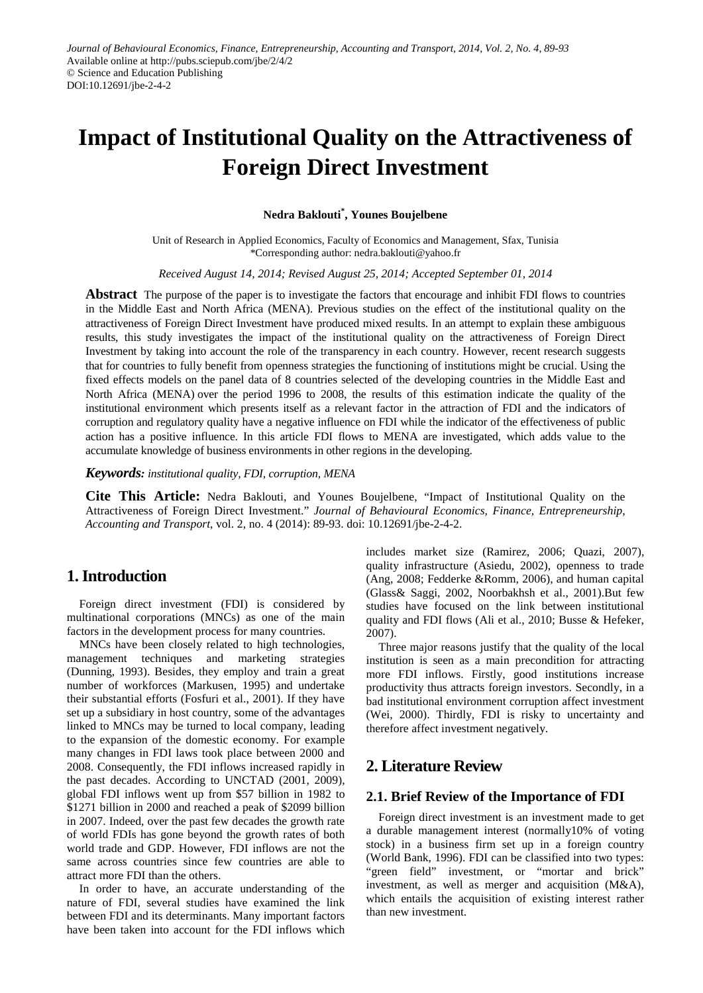# **Impact of Institutional Quality on the Attractiveness of Foreign Direct Investment**

#### **Nedra Baklouti\* , Younes Boujelbene**

Unit of Research in Applied Economics, Faculty of Economics and Management, Sfax, Tunisia \*Corresponding author: nedra.baklouti@yahoo.fr

*Received August 14, 2014; Revised August 25, 2014; Accepted September 01, 2014*

**Abstract** The purpose of the paper is to investigate the factors that encourage and inhibit FDI flows to countries in the Middle East and North Africa (MENA). Previous studies on the effect of the institutional quality on the attractiveness of Foreign Direct Investment have produced mixed results. In an attempt to explain these ambiguous results, this study investigates the impact of the institutional quality on the attractiveness of Foreign Direct Investment by taking into account the role of the transparency in each country. However, recent research suggests that for countries to fully benefit from openness strategies the functioning of institutions might be crucial. Using the fixed effects models on the panel data of 8 countries selected of the developing countries in the Middle East and North Africa (MENA) over the period 1996 to 2008, the results of this estimation indicate the quality of the institutional environment which presents itself as a relevant factor in the attraction of FDI and the indicators of corruption and regulatory quality have a negative influence on FDI while the indicator of the effectiveness of public action has a positive influence. In this article FDI flows to MENA are investigated, which adds value to the accumulate knowledge of business environments in other regions in the developing.

*Keywords: institutional quality, FDI, corruption, MENA*

**Cite This Article:** Nedra Baklouti, and Younes Boujelbene, "Impact of Institutional Quality on the Attractiveness of Foreign Direct Investment." *Journal of Behavioural Economics, Finance, Entrepreneurship, Accounting and Transport*, vol. 2, no. 4 (2014): 89-93. doi: 10.12691/jbe-2-4-2.

# **1. Introduction**

Foreign direct investment (FDI) is considered by multinational corporations (MNCs) as one of the main factors in the development process for many countries.

MNCs have been closely related to high technologies, management techniques and marketing strategies (Dunning, 1993). Besides, they employ and train a great number of workforces (Markusen, 1995) and undertake their substantial efforts (Fosfuri et al., 2001). If they have set up a subsidiary in host country, some of the advantages linked to MNCs may be turned to local company, leading to the expansion of the domestic economy. For example many changes in FDI laws took place between 2000 and 2008. Consequently, the FDI inflows increased rapidly in the past decades. According to UNCTAD (2001, 2009), global FDI inflows went up from \$57 billion in 1982 to \$1271 billion in 2000 and reached a peak of \$2099 billion in 2007. Indeed, over the past few decades the growth rate of world FDIs has gone beyond the growth rates of both world trade and GDP. However, FDI inflows are not the same across countries since few countries are able to attract more FDI than the others.

In order to have, an accurate understanding of the nature of FDI, several studies have examined the link between FDI and its determinants. Many important factors have been taken into account for the FDI inflows which includes market size (Ramirez, 2006; Quazi, 2007), quality infrastructure (Asiedu, 2002), openness to trade (Ang, 2008; Fedderke &Romm, 2006), and human capital (Glass& Saggi, 2002, Noorbakhsh et al., 2001).But few studies have focused on the link between institutional quality and FDI flows (Ali et al., 2010; Busse & Hefeker, 2007).

Three major reasons justify that the quality of the local institution is seen as a main precondition for attracting more FDI inflows. Firstly, good institutions increase productivity thus attracts foreign investors. Secondly, in a bad institutional environment corruption affect investment (Wei, 2000). Thirdly, FDI is risky to uncertainty and therefore affect investment negatively.

# **2. Literature Review**

#### **2.1. Brief Review of the Importance of FDI**

Foreign direct investment is an investment made to get a durable management interest (normally10% of voting stock) in a business firm set up in a foreign country (World Bank, 1996). FDI can be classified into two types: "green field" investment, or "mortar and brick" investment, as well as merger and acquisition (M&A), which entails the acquisition of existing interest rather than new investment.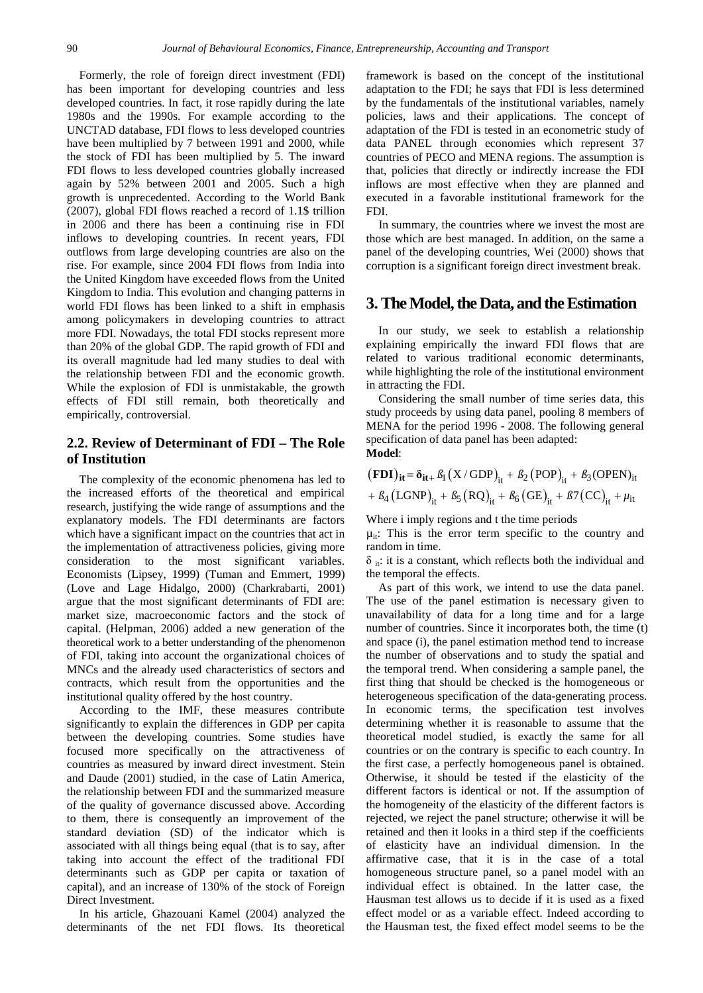Formerly, the role of foreign direct investment (FDI) has been important for developing countries and less developed countries. In fact, it rose rapidly during the late 1980s and the 1990s. For example according to the UNCTAD database, FDI flows to less developed countries have been multiplied by 7 between 1991 and 2000, while the stock of FDI has been multiplied by 5. The inward FDI flows to less developed countries globally increased again by 52% between 2001 and 2005. Such a high growth is unprecedented. According to the World Bank (2007), global FDI flows reached a record of 1.1\$ trillion in 2006 and there has been a continuing rise in FDI inflows to developing countries. In recent years, FDI outflows from large developing countries are also on the rise. For example, since 2004 FDI flows from India into the United Kingdom have exceeded flows from the United Kingdom to India. This evolution and changing patterns in world FDI flows has been linked to a shift in emphasis among policymakers in developing countries to attract more FDI. Nowadays, the total FDI stocks represent more than 20% of the global GDP. The rapid growth of FDI and its overall magnitude had led many studies to deal with the relationship between FDI and the economic growth. While the explosion of FDI is unmistakable, the growth effects of FDI still remain, both theoretically and empirically, controversial.

## **2.2. Review of Determinant of FDI – The Role of Institution**

The complexity of the economic phenomena has led to the increased efforts of the theoretical and empirical research, justifying the wide range of assumptions and the explanatory models. The FDI determinants are factors which have a significant impact on the countries that act in the implementation of attractiveness policies, giving more consideration to the most significant variables. Economists (Lipsey, 1999) (Tuman and Emmert, 1999) (Love and Lage Hidalgo, 2000) (Charkrabarti, 2001) argue that the most significant determinants of FDI are: market size, macroeconomic factors and the stock of capital. (Helpman, 2006) added a new generation of the theoretical work to a better understanding of the phenomenon of FDI, taking into account the organizational choices of MNCs and the already used characteristics of sectors and contracts, which result from the opportunities and the institutional quality offered by the host country.

According to the IMF, these measures contribute significantly to explain the differences in GDP per capita between the developing countries. Some studies have focused more specifically on the attractiveness of countries as measured by inward direct investment. Stein and Daude (2001) studied, in the case of Latin America, the relationship between FDI and the summarized measure of the quality of governance discussed above. According to them, there is consequently an improvement of the standard deviation (SD) of the indicator which is associated with all things being equal (that is to say, after taking into account the effect of the traditional FDI determinants such as GDP per capita or taxation of capital), and an increase of 130% of the stock of Foreign Direct Investment.

In his article, Ghazouani Kamel (2004) analyzed the determinants of the net FDI flows. Its theoretical framework is based on the concept of the institutional adaptation to the FDI; he says that FDI is less determined by the fundamentals of the institutional variables, namely policies, laws and their applications. The concept of adaptation of the FDI is tested in an econometric study of data PANEL through economies which represent 37 countries of PECO and MENA regions. The assumption is that, policies that directly or indirectly increase the FDI inflows are most effective when they are planned and executed in a favorable institutional framework for the FDI.

In summary, the countries where we invest the most are those which are best managed. In addition, on the same a panel of the developing countries, Wei (2000) shows that corruption is a significant foreign direct investment break.

#### **3. The Model, the Data, and the Estimation**

In our study, we seek to establish a relationship explaining empirically the inward FDI flows that are related to various traditional economic determinants, while highlighting the role of the institutional environment in attracting the FDI.

Considering the small number of time series data, this study proceeds by using data panel, pooling 8 members of MENA for the period 1996 - 2008. The following general specification of data panel has been adapted: **Model**:

 $({\bf FDI})_{it} = \delta_{it+} \beta_1 (X / GDP)_{it} + \beta_2 (POP)_{it} + \beta_3 (OPEN)_{it}$  $+\beta_4 (LGNP)_{it} + \beta_5 (RQ)_{it} + \beta_6 (GE)_{it} + \beta_7 (CC)_{it} + \mu_{it}$ 

Where i imply regions and t the time periods

 $\mu_{it}$ : This is the error term specific to the country and random in time.

 $\delta$ <sub>it</sub>: it is a constant, which reflects both the individual and the temporal the effects.

As part of this work, we intend to use the data panel. The use of the panel estimation is necessary given to unavailability of data for a long time and for a large number of countries. Since it incorporates both, the time (t) and space (i), the panel estimation method tend to increase the number of observations and to study the spatial and the temporal trend. When considering a sample panel, the first thing that should be checked is the homogeneous or heterogeneous specification of the data-generating process. In economic terms, the specification test involves determining whether it is reasonable to assume that the theoretical model studied, is exactly the same for all countries or on the contrary is specific to each country. In the first case, a perfectly homogeneous panel is obtained. Otherwise, it should be tested if the elasticity of the different factors is identical or not. If the assumption of the homogeneity of the elasticity of the different factors is rejected, we reject the panel structure; otherwise it will be retained and then it looks in a third step if the coefficients of elasticity have an individual dimension. In the affirmative case, that it is in the case of a total homogeneous structure panel, so a panel model with an individual effect is obtained. In the latter case, the Hausman test allows us to decide if it is used as a fixed effect model or as a variable effect. Indeed according to the Hausman test, the fixed effect model seems to be the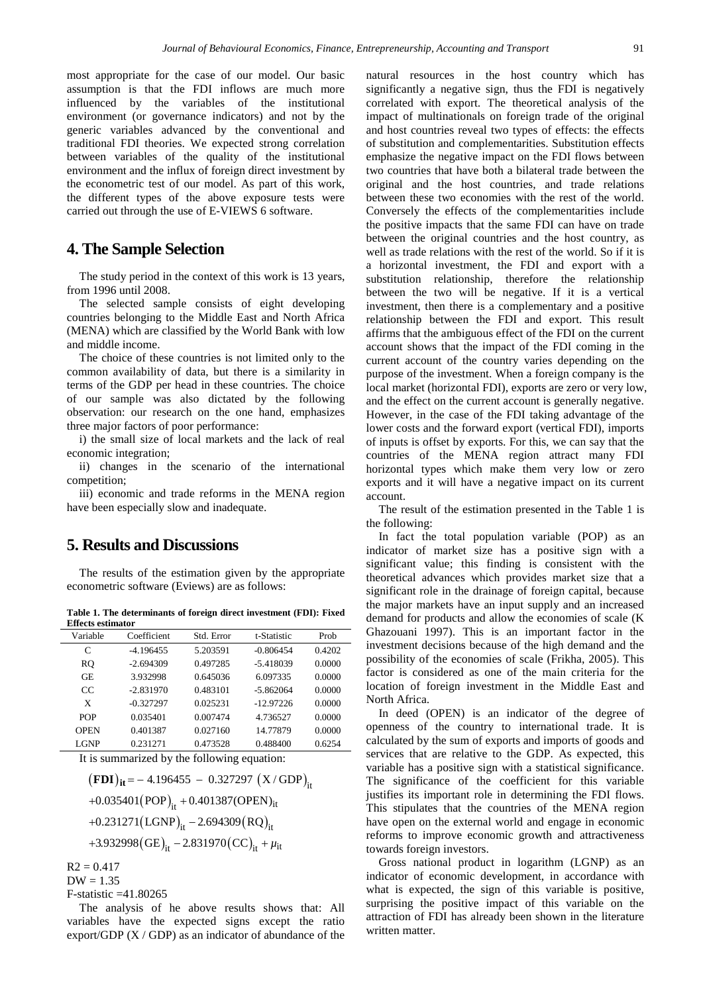most appropriate for the case of our model. Our basic assumption is that the FDI inflows are much more influenced by the variables of the institutional environment (or governance indicators) and not by the generic variables advanced by the conventional and traditional FDI theories. We expected strong correlation between variables of the quality of the institutional environment and the influx of foreign direct investment by the econometric test of our model. As part of this work, the different types of the above exposure tests were carried out through the use of E-VIEWS 6 software.

## **4. The Sample Selection**

The study period in the context of this work is 13 years, from 1996 until 2008.

The selected sample consists of eight developing countries belonging to the Middle East and North Africa (MENA) which are classified by the World Bank with low and middle income.

The choice of these countries is not limited only to the common availability of data, but there is a similarity in terms of the GDP per head in these countries. The choice of our sample was also dictated by the following observation: our research on the one hand, emphasizes three major factors of poor performance:

i) the small size of local markets and the lack of real economic integration;

ii) changes in the scenario of the international competition;

iii) economic and trade reforms in the MENA region have been especially slow and inadequate.

## **5. Results and Discussions**

The results of the estimation given by the appropriate econometric software (Eviews) are as follows:

**Table 1. The determinants of foreign direct investment (FDI): Fixed Effects estimator**

| Variable    | Coefficient | Std. Error | t-Statistic | Prob   |
|-------------|-------------|------------|-------------|--------|
| C           | $-4.196455$ | 5.203591   | $-0.806454$ | 0.4202 |
| RO.         | $-2.694309$ | 0.497285   | $-5.418039$ | 0.0000 |
| <b>GE</b>   | 3.932998    | 0.645036   | 6.097335    | 0.0000 |
| CC          | $-2.831970$ | 0.483101   | -5.862064   | 0.0000 |
| X           | $-0.327297$ | 0.025231   | $-12.97226$ | 0.0000 |
| <b>POP</b>  | 0.035401    | 0.007474   | 4.736527    | 0.0000 |
| <b>OPEN</b> | 0.401387    | 0.027160   | 14.77879    | 0.0000 |
| <b>LGNP</b> | 0.231271    | 0.473528   | 0.488400    | 0.6254 |

It is summarized by the following equation:

 $(FDI)_{it} = -4.196455 - 0.327297 (X/GDP)_{it}$ +0.035401 $(POP)_{it}$  + 0.401387(OPEN)<sub>it</sub> +0.231271(LGNP)<sub>it</sub> – 2.694309(RQ)<sub>it</sub>  $+3.932998(GE)_{it} - 2.831970(CC)_{it} + \mu_{it}$ 

 $R2 = 0.417$ 

 $DW = 1.35$ 

F-statistic =41.80265

The analysis of he above results shows that: All variables have the expected signs except the ratio export/GDP  $(X / GDP)$  as an indicator of abundance of the natural resources in the host country which has significantly a negative sign, thus the FDI is negatively correlated with export. The theoretical analysis of the impact of multinationals on foreign trade of the original and host countries reveal two types of effects: the effects of substitution and complementarities. Substitution effects emphasize the negative impact on the FDI flows between two countries that have both a bilateral trade between the original and the host countries, and trade relations between these two economies with the rest of the world. Conversely the effects of the complementarities include the positive impacts that the same FDI can have on trade between the original countries and the host country, as well as trade relations with the rest of the world. So if it is a horizontal investment, the FDI and export with a substitution relationship, therefore the relationship between the two will be negative. If it is a vertical investment, then there is a complementary and a positive relationship between the FDI and export. This result affirms that the ambiguous effect of the FDI on the current account shows that the impact of the FDI coming in the current account of the country varies depending on the purpose of the investment. When a foreign company is the local market (horizontal FDI), exports are zero or very low, and the effect on the current account is generally negative. However, in the case of the FDI taking advantage of the lower costs and the forward export (vertical FDI), imports of inputs is offset by exports. For this, we can say that the countries of the MENA region attract many FDI horizontal types which make them very low or zero exports and it will have a negative impact on its current account.

The result of the estimation presented in the Table 1 is the following:

In fact the total population variable (POP) as an indicator of market size has a positive sign with a significant value; this finding is consistent with the theoretical advances which provides market size that a significant role in the drainage of foreign capital, because the major markets have an input supply and an increased demand for products and allow the economies of scale (K Ghazouani 1997). This is an important factor in the investment decisions because of the high demand and the possibility of the economies of scale (Frikha, 2005). This factor is considered as one of the main criteria for the location of foreign investment in the Middle East and North Africa.

In deed (OPEN) is an indicator of the degree of openness of the country to international trade. It is calculated by the sum of exports and imports of goods and services that are relative to the GDP. As expected, this variable has a positive sign with a statistical significance. The significance of the coefficient for this variable justifies its important role in determining the FDI flows. This stipulates that the countries of the MENA region have open on the external world and engage in economic reforms to improve economic growth and attractiveness towards foreign investors.

Gross national product in logarithm (LGNP) as an indicator of economic development, in accordance with what is expected, the sign of this variable is positive, surprising the positive impact of this variable on the attraction of FDI has already been shown in the literature written matter.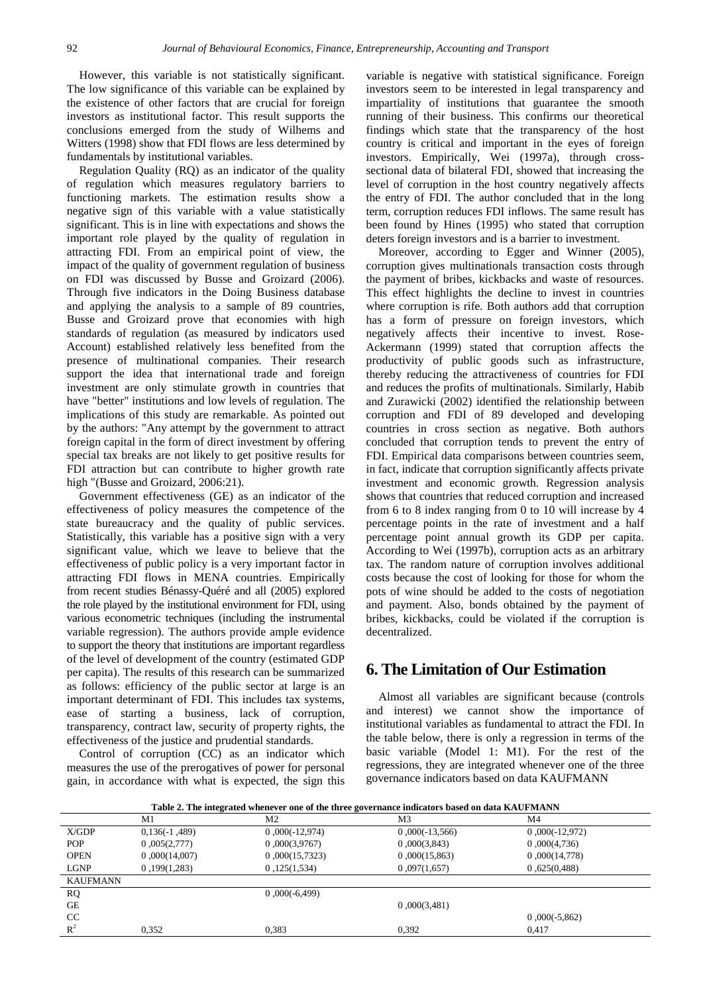However, this variable is not statistically significant. The low significance of this variable can be explained by the existence of other factors that are crucial for foreign investors as institutional factor. This result supports the conclusions emerged from the study of Wilhems and Witters (1998) show that FDI flows are less determined by fundamentals by institutional variables.

Regulation Quality (RQ) as an indicator of the quality of regulation which measures regulatory barriers to functioning markets. The estimation results show a negative sign of this variable with a value statistically significant. This is in line with expectations and shows the important role played by the quality of regulation in attracting FDI. From an empirical point of view, the impact of the quality of government regulation of business on FDI was discussed by Busse and Groizard (2006). Through five indicators in the Doing Business database and applying the analysis to a sample of 89 countries, Busse and Groizard prove that economies with high standards of regulation (as measured by indicators used Account) established relatively less benefited from the presence of multinational companies. Their research support the idea that international trade and foreign investment are only stimulate growth in countries that have "better" institutions and low levels of regulation. The implications of this study are remarkable. As pointed out by the authors: "Any attempt by the government to attract foreign capital in the form of direct investment by offering special tax breaks are not likely to get positive results for FDI attraction but can contribute to higher growth rate high "(Busse and Groizard, 2006:21).

Government effectiveness (GE) as an indicator of the effectiveness of policy measures the competence of the state bureaucracy and the quality of public services. Statistically, this variable has a positive sign with a very significant value, which we leave to believe that the effectiveness of public policy is a very important factor in attracting FDI flows in MENA countries. Empirically from recent studies Bénassy-Quéré and all (2005) explored the role played by the institutional environment for FDI, using various econometric techniques (including the instrumental variable regression). The authors provide ample evidence to support the theory that institutions are important regardless of the level of development of the country (estimated GDP per capita). The results of this research can be summarized as follows: efficiency of the public sector at large is an important determinant of FDI. This includes tax systems, ease of starting a business, lack of corruption, transparency, contract law, security of property rights, the effectiveness of the justice and prudential standards.

Control of corruption (CC) as an indicator which measures the use of the prerogatives of power for personal gain, in accordance with what is expected, the sign this variable is negative with statistical significance. Foreign investors seem to be interested in legal transparency and impartiality of institutions that guarantee the smooth running of their business. This confirms our theoretical findings which state that the transparency of the host country is critical and important in the eyes of foreign investors. Empirically, Wei (1997a), through crosssectional data of bilateral FDI, showed that increasing the level of corruption in the host country negatively affects the entry of FDI. The author concluded that in the long term, corruption reduces FDI inflows. The same result has been found by Hines (1995) who stated that corruption deters foreign investors and is a barrier to investment.

Moreover, according to Egger and Winner (2005), corruption gives multinationals transaction costs through the payment of bribes, kickbacks and waste of resources. This effect highlights the decline to invest in countries where corruption is rife. Both authors add that corruption has a form of pressure on foreign investors, which negatively affects their incentive to invest. Rose-Ackermann (1999) stated that corruption affects the productivity of public goods such as infrastructure, thereby reducing the attractiveness of countries for FDI and reduces the profits of multinationals. Similarly, Habib and Zurawicki (2002) identified the relationship between corruption and FDI of 89 developed and developing countries in cross section as negative. Both authors concluded that corruption tends to prevent the entry of FDI. Empirical data comparisons between countries seem, in fact, indicate that corruption significantly affects private investment and economic growth. Regression analysis shows that countries that reduced corruption and increased from 6 to 8 index ranging from 0 to 10 will increase by 4 percentage points in the rate of investment and a half percentage point annual growth its GDP per capita. According to Wei (1997b), corruption acts as an arbitrary tax. The random nature of corruption involves additional costs because the cost of looking for those for whom the pots of wine should be added to the costs of negotiation and payment. Also, bonds obtained by the payment of bribes, kickbacks, could be violated if the corruption is decentralized.

# **6. The Limitation of Our Estimation**

Almost all variables are significant because (controls and interest) we cannot show the importance of institutional variables as fundamental to attract the FDI. In the table below, there is only a regression in terms of the basic variable (Model 1: M1). For the rest of the regressions, they are integrated whenever one of the three governance indicators based on data KAUFMANN

**Table 2. The integrated whenever one of the three governance indicators based on data KAUFMANN**

|                 | M1              | M2               | M <sub>3</sub>   | M4               |
|-----------------|-----------------|------------------|------------------|------------------|
| X/GDP           | $0,136(-1,489)$ | $0,000(-12,974)$ | $0,000(-13,566)$ | $0,000(-12,972)$ |
| <b>POP</b>      | 0,005(2,777)    | 0,000(3,9767)    | 0,000(3,843)     | 0,000(4,736)     |
| <b>OPEN</b>     | 0,000(14,007)   | 0,000(15,7323)   | 0,000(15,863)    | 0,000(14,778)    |
| LGNP            | 0,199(1,283)    | 0,125(1,534)     | 0,097(1,657)     | 0,625(0,488)     |
| <b>KAUFMANN</b> |                 |                  |                  |                  |
| <b>RQ</b>       |                 | $0,000(-6,499)$  |                  |                  |
| <b>GE</b>       |                 |                  | 0,000(3,481)     |                  |
| CC              |                 |                  |                  | $0,000(-5,862)$  |
| $R^2$           | 0.352           | 0,383            | 0.392            | 0.417            |
|                 |                 |                  |                  |                  |